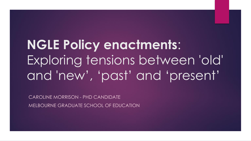# **NGLE Policy enactments**: Exploring tensions between 'old' and 'new', 'past' and 'present'

CAROLINE MORRISON - PHD CANDIDATE MELBOURNE GRADUATE SCHOOL OF EDUCATION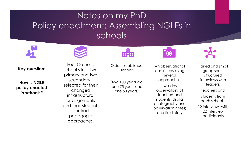### Notes on my PhD Policy enactment: Assembling NGLEs in schools



**Key question:** 

**How is NGLE policy enacted in schools?** 

Four Catholic school sites - two

primary and two secondary selected for their

changed infrastructural

arrangements and their student-

centred

pedagogic

approaches.

Older, established, schools

(two 100 years old, one 75 years and one 50 years).

An observational case study using several approaches:

two-day observations of teachers and students; digital photography and observation notes; and field diary

Paired and small group semistructured interviews with leaders, teachers and students from each school – 12 interviews with

22 interview participants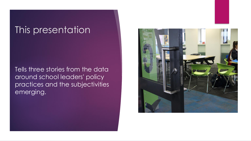### This presentation

Tells three stories from the data around school leaders' policy practices and the subjectivities emerging.

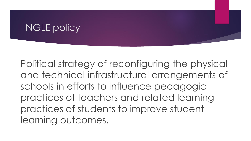### NGLE policy

Political strategy of reconfiguring the physical and technical infrastructural arrangements of schools in efforts to influence pedagogic practices of teachers and related learning practices of students to improve student learning outcomes.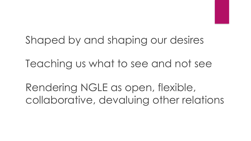## Shaped by and shaping our desires

Teaching us what to see and not see

Rendering NGLE as open, flexible, collaborative, devaluing other relations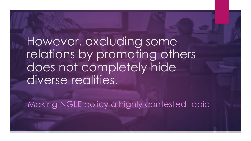However, excluding some relations by promoting others does not completely hide diverse realities.

Making NGLE policy a highly contested topic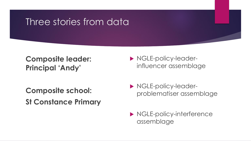### Three stories from data

#### **Composite leader: Principal 'Andy'**

**Composite school: St Constance Primary**

- **NGLE-policy-leader**influencer assemblage
- **NGLE-policy-leader**problematiser assemblage
- ▶ NGLE-policy-interference assemblage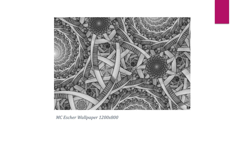

*MC Escher Wallpaper 1200x800*